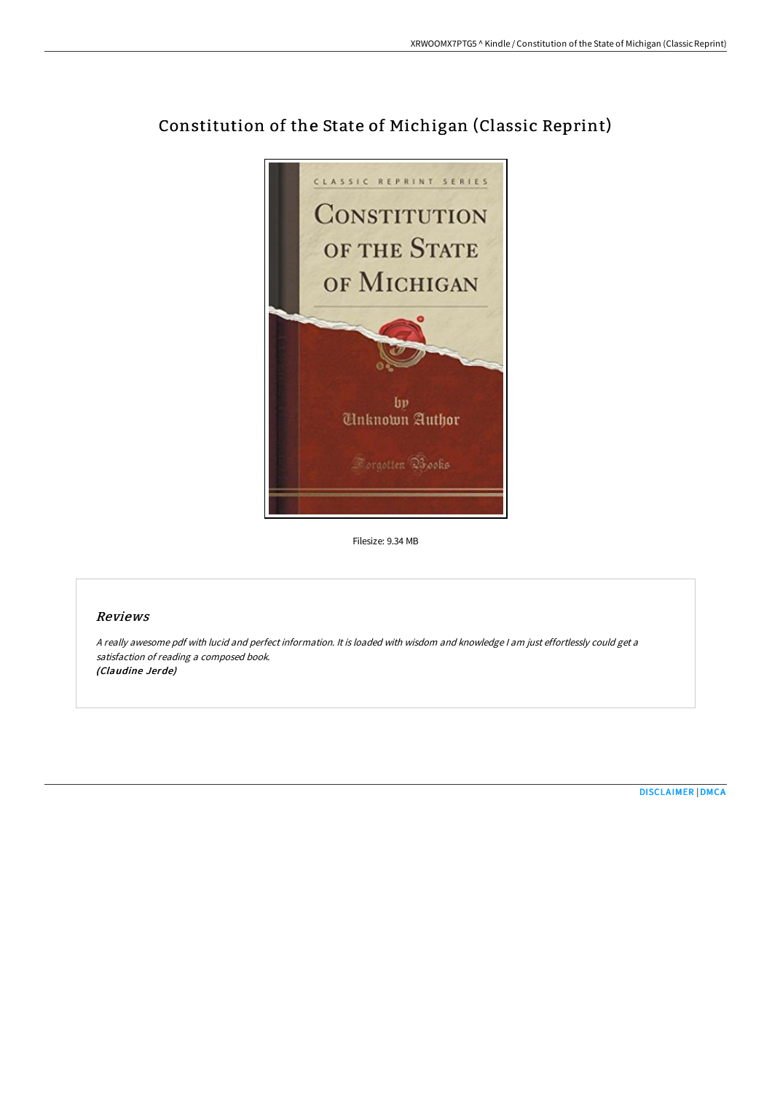

# Constitution of the State of Michigan (Classic Reprint)

Filesize: 9.34 MB

### Reviews

<sup>A</sup> really awesome pdf with lucid and perfect information. It is loaded with wisdom and knowledge <sup>I</sup> am just effortlessly could get <sup>a</sup> satisfaction of reading <sup>a</sup> composed book. (Claudine Jerde)

[DISCLAIMER](http://techno-pub.tech/disclaimer.html) | [DMCA](http://techno-pub.tech/dmca.html)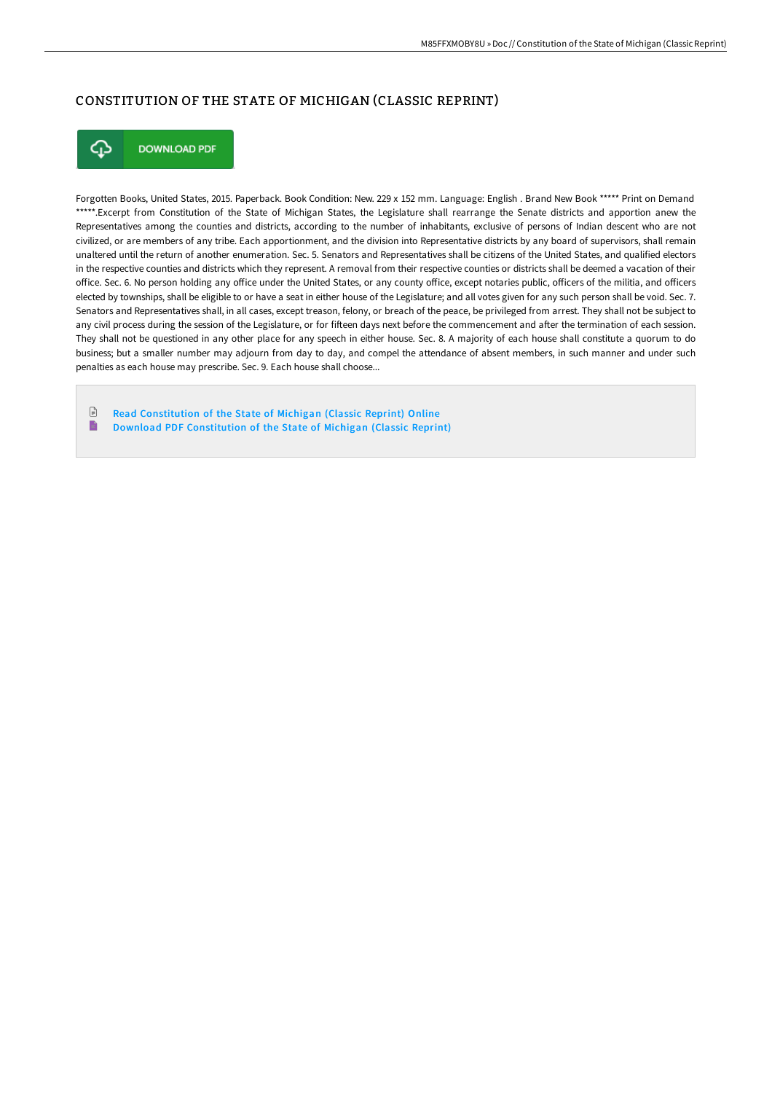# CONSTITUTION OF THE STATE OF MICHIGAN (CLASSIC REPRINT)



**DOWNLOAD PDF** 

Forgotten Books, United States, 2015. Paperback. Book Condition: New. 229 x 152 mm. Language: English . Brand New Book \*\*\*\*\* Print on Demand \*\*\*\*\*.Excerpt from Constitution of the State of Michigan States, the Legislature shall rearrange the Senate districts and apportion anew the Representatives among the counties and districts, according to the number of inhabitants, exclusive of persons of Indian descent who are not civilized, or are members of any tribe. Each apportionment, and the division into Representative districts by any board of supervisors, shall remain unaltered until the return of another enumeration. Sec. 5. Senators and Representatives shall be citizens of the United States, and qualified electors in the respective counties and districts which they represent. A removal from their respective counties or districts shall be deemed a vacation of their office. Sec. 6. No person holding any office under the United States, or any county office, except notaries public, officers of the militia, and officers elected by townships, shall be eligible to or have a seat in either house of the Legislature; and all votes given for any such person shall be void. Sec. 7. Senators and Representatives shall, in all cases, except treason, felony, or breach of the peace, be privileged from arrest. They shall not be subject to any civil process during the session of the Legislature, or for fifteen days next before the commencement and after the termination of each session. They shall not be questioned in any other place for any speech in either house. Sec. 8. A majority of each house shall constitute a quorum to do business; but a smaller number may adjourn from day to day, and compel the attendance of absent members, in such manner and under such penalties as each house may prescribe. Sec. 9. Each house shall choose...

 $\Box$ Read [Constitution](http://techno-pub.tech/constitution-of-the-state-of-michigan-classic-re.html) of the State of Michigan (Classic Reprint) Online E Download PDF [Constitution](http://techno-pub.tech/constitution-of-the-state-of-michigan-classic-re.html) of the State of Michigan (Classic Reprint)